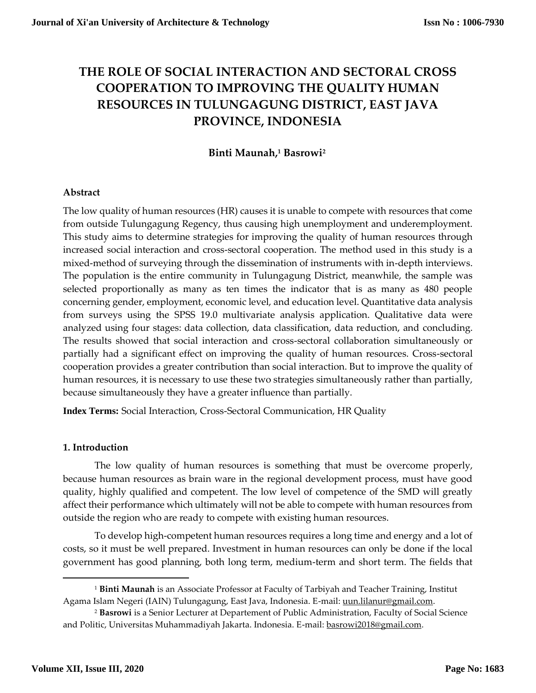# **THE ROLE OF SOCIAL INTERACTION AND SECTORAL CROSS COOPERATION TO IMPROVING THE QUALITY HUMAN RESOURCES IN TULUNGAGUNG DISTRICT, EAST JAVA PROVINCE, INDONESIA**

# **Binti Maunah, <sup>1</sup> Basrowi<sup>2</sup>**

# **Abstract**

The low quality of human resources (HR) causes it is unable to compete with resources that come from outside Tulungagung Regency, thus causing high unemployment and underemployment. This study aims to determine strategies for improving the quality of human resources through increased social interaction and cross-sectoral cooperation. The method used in this study is a mixed-method of surveying through the dissemination of instruments with in-depth interviews. The population is the entire community in Tulungagung District, meanwhile, the sample was selected proportionally as many as ten times the indicator that is as many as 480 people concerning gender, employment, economic level, and education level. Quantitative data analysis from surveys using the SPSS 19.0 multivariate analysis application. Qualitative data were analyzed using four stages: data collection, data classification, data reduction, and concluding. The results showed that social interaction and cross-sectoral collaboration simultaneously or partially had a significant effect on improving the quality of human resources. Cross-sectoral cooperation provides a greater contribution than social interaction. But to improve the quality of human resources, it is necessary to use these two strategies simultaneously rather than partially, because simultaneously they have a greater influence than partially.

**Index Terms:** Social Interaction, Cross-Sectoral Communication, HR Quality

# **1. Introduction**

The low quality of human resources is something that must be overcome properly, because human resources as brain ware in the regional development process, must have good quality, highly qualified and competent. The low level of competence of the SMD will greatly affect their performance which ultimately will not be able to compete with human resources from outside the region who are ready to compete with existing human resources.

To develop high-competent human resources requires a long time and energy and a lot of costs, so it must be well prepared. Investment in human resources can only be done if the local government has good planning, both long term, medium-term and short term. The fields that

l

<sup>1</sup> **Binti Maunah** is an Associate Professor at Faculty of Tarbiyah and Teacher Training, Institut Agama Islam Negeri (IAIN) Tulungagung, East Java, Indonesia. E-mail[: uun.lilanur@gmail.com.](mailto:uun.lilanur@gmail.com)

<sup>2</sup> **Basrowi** is a Senior Lecturer at Departement of Public Administration, Faculty of Social Science and Politic, Universitas Muhammadiyah Jakarta. Indonesia. E-mail: [basrowi2018@gmail.com.](mailto:basrowi2018@gmail.com)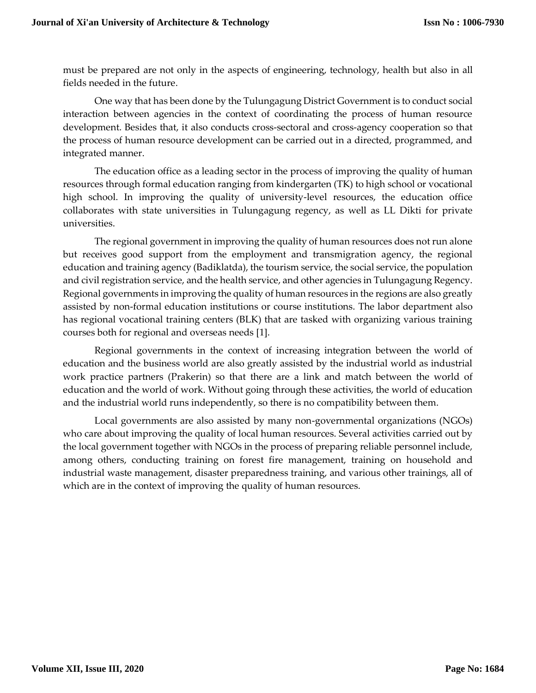must be prepared are not only in the aspects of engineering, technology, health but also in all fields needed in the future.

One way that has been done by the Tulungagung District Government is to conduct social interaction between agencies in the context of coordinating the process of human resource development. Besides that, it also conducts cross-sectoral and cross-agency cooperation so that the process of human resource development can be carried out in a directed, programmed, and integrated manner.

The education office as a leading sector in the process of improving the quality of human resources through formal education ranging from kindergarten (TK) to high school or vocational high school. In improving the quality of university-level resources, the education office collaborates with state universities in Tulungagung regency, as well as LL Dikti for private universities.

The regional government in improving the quality of human resources does not run alone but receives good support from the employment and transmigration agency, the regional education and training agency (Badiklatda), the tourism service, the social service, the population and civil registration service, and the health service, and other agencies in Tulungagung Regency. Regional governments in improving the quality of human resources in the regions are also greatly assisted by non-formal education institutions or course institutions. The labor department also has regional vocational training centers (BLK) that are tasked with organizing various training courses both for regional and overseas needs [1].

Regional governments in the context of increasing integration between the world of education and the business world are also greatly assisted by the industrial world as industrial work practice partners (Prakerin) so that there are a link and match between the world of education and the world of work. Without going through these activities, the world of education and the industrial world runs independently, so there is no compatibility between them.

Local governments are also assisted by many non-governmental organizations (NGOs) who care about improving the quality of local human resources. Several activities carried out by the local government together with NGOs in the process of preparing reliable personnel include, among others, conducting training on forest fire management, training on household and industrial waste management, disaster preparedness training, and various other trainings, all of which are in the context of improving the quality of human resources.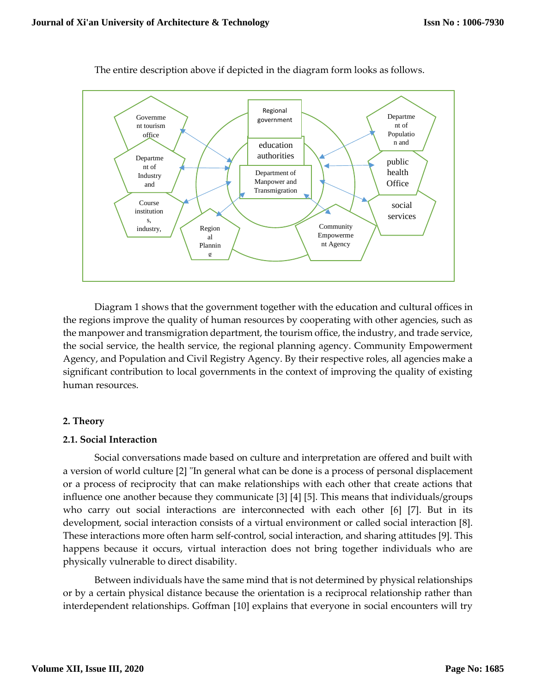

The entire description above if depicted in the diagram form looks as follows.

Diagram 1 shows that the government together with the education and cultural offices in the regions improve the quality of human resources by cooperating with other agencies, such as the manpower and transmigration department, the tourism office, the industry, and trade service, the social service, the health service, the regional planning agency. Community Empowerment Agency, and Population and Civil Registry Agency. By their respective roles, all agencies make a significant contribution to local governments in the context of improving the quality of existing human resources.

# **2. Theory**

#### **2.1. Social Interaction**

Social conversations made based on culture and interpretation are offered and built with a version of world culture [2] "In general what can be done is a process of personal displacement or a process of reciprocity that can make relationships with each other that create actions that influence one another because they communicate [3] [4] [5]. This means that individuals/groups who carry out social interactions are interconnected with each other [6] [7]. But in its development, social interaction consists of a virtual environment or called social interaction [8]. These interactions more often harm self-control, social interaction, and sharing attitudes [9]. This happens because it occurs, virtual interaction does not bring together individuals who are physically vulnerable to direct disability.

Between individuals have the same mind that is not determined by physical relationships or by a certain physical distance because the orientation is a reciprocal relationship rather than interdependent relationships. Goffman [10] explains that everyone in social encounters will try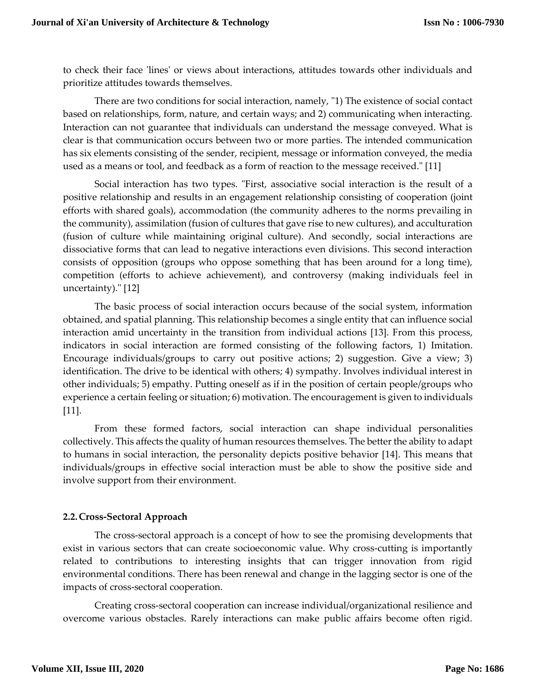to check their face 'lines' or views about interactions, attitudes towards other individuals and prioritize attitudes towards themselves.

There are two conditions for social interaction, namely, "1) The existence of social contact based on relationships, form, nature, and certain ways; and 2) communicating when interacting. Interaction can not guarantee that individuals can understand the message conveyed. What is clear is that communication occurs between two or more parties. The intended communication has six elements consisting of the sender, recipient, message or information conveyed, the media used as a means or tool, and feedback as a form of reaction to the message received." [11]

Social interaction has two types. "First, associative social interaction is the result of a positive relationship and results in an engagement relationship consisting of cooperation (joint efforts with shared goals), accommodation (the community adheres to the norms prevailing in the community), assimilation (fusion of cultures that gave rise to new cultures), and acculturation (fusion of culture while maintaining original culture). And secondly, social interactions are dissociative forms that can lead to negative interactions even divisions. This second interaction consists of opposition (groups who oppose something that has been around for a long time), competition (efforts to achieve achievement), and controversy (making individuals feel in uncertainty)." [12]

The basic process of social interaction occurs because of the social system, information obtained, and spatial planning. This relationship becomes a single entity that can influence social interaction amid uncertainty in the transition from individual actions [13]. From this process, indicators in social interaction are formed consisting of the following factors, 1) Imitation. Encourage individuals/groups to carry out positive actions; 2) suggestion. Give a view; 3) identification. The drive to be identical with others; 4) sympathy. Involves individual interest in other individuals; 5) empathy. Putting oneself as if in the position of certain people/groups who experience a certain feeling or situation; 6) motivation. The encouragement is given to individuals [11].

From these formed factors, social interaction can shape individual personalities collectively. This affects the quality of human resources themselves. The better the ability to adapt to humans in social interaction, the personality depicts positive behavior [14]. This means that individuals/groups in effective social interaction must be able to show the positive side and involve support from their environment.

# **2.2.Cross-Sectoral Approach**

The cross-sectoral approach is a concept of how to see the promising developments that exist in various sectors that can create socioeconomic value. Why cross-cutting is importantly related to contributions to interesting insights that can trigger innovation from rigid environmental conditions. There has been renewal and change in the lagging sector is one of the impacts of cross-sectoral cooperation.

Creating cross-sectoral cooperation can increase individual/organizational resilience and overcome various obstacles. Rarely interactions can make public affairs become often rigid.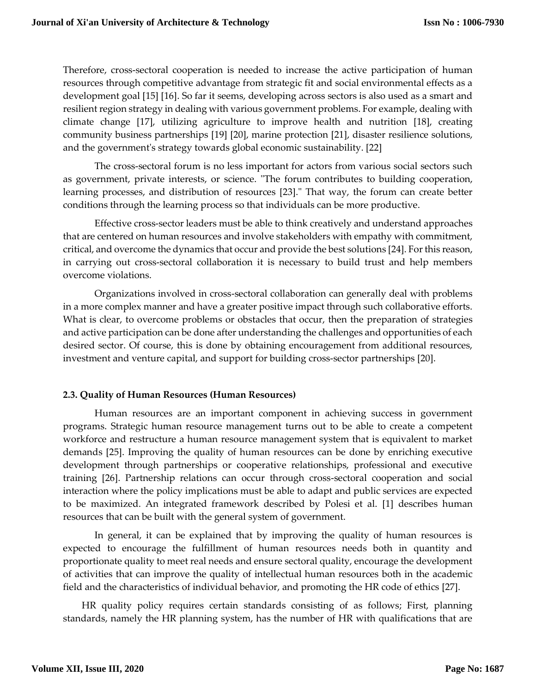Therefore, cross-sectoral cooperation is needed to increase the active participation of human resources through competitive advantage from strategic fit and social environmental effects as a development goal [15] [16]. So far it seems, developing across sectors is also used as a smart and resilient region strategy in dealing with various government problems. For example, dealing with climate change [17], utilizing agriculture to improve health and nutrition [18], creating community business partnerships [19] [20], marine protection [21], disaster resilience solutions, and the government's strategy towards global economic sustainability. [22]

The cross-sectoral forum is no less important for actors from various social sectors such as government, private interests, or science. "The forum contributes to building cooperation, learning processes, and distribution of resources [23]." That way, the forum can create better conditions through the learning process so that individuals can be more productive.

Effective cross-sector leaders must be able to think creatively and understand approaches that are centered on human resources and involve stakeholders with empathy with commitment, critical, and overcome the dynamics that occur and provide the best solutions [24]. For this reason, in carrying out cross-sectoral collaboration it is necessary to build trust and help members overcome violations.

Organizations involved in cross-sectoral collaboration can generally deal with problems in a more complex manner and have a greater positive impact through such collaborative efforts. What is clear, to overcome problems or obstacles that occur, then the preparation of strategies and active participation can be done after understanding the challenges and opportunities of each desired sector. Of course, this is done by obtaining encouragement from additional resources, investment and venture capital, and support for building cross-sector partnerships [20].

# **2.3. Quality of Human Resources (Human Resources)**

Human resources are an important component in achieving success in government programs. Strategic human resource management turns out to be able to create a competent workforce and restructure a human resource management system that is equivalent to market demands [25]. Improving the quality of human resources can be done by enriching executive development through partnerships or cooperative relationships, professional and executive training [26]. Partnership relations can occur through cross-sectoral cooperation and social interaction where the policy implications must be able to adapt and public services are expected to be maximized. An integrated framework described by Polesi et al. [1] describes human resources that can be built with the general system of government.

In general, it can be explained that by improving the quality of human resources is expected to encourage the fulfillment of human resources needs both in quantity and proportionate quality to meet real needs and ensure sectoral quality, encourage the development of activities that can improve the quality of intellectual human resources both in the academic field and the characteristics of individual behavior, and promoting the HR code of ethics [27].

HR quality policy requires certain standards consisting of as follows; First, planning standards, namely the HR planning system, has the number of HR with qualifications that are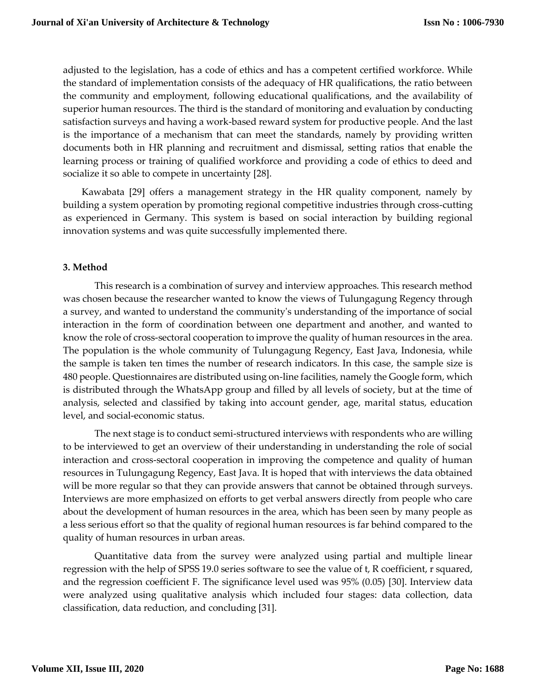adjusted to the legislation, has a code of ethics and has a competent certified workforce. While the standard of implementation consists of the adequacy of HR qualifications, the ratio between the community and employment, following educational qualifications, and the availability of superior human resources. The third is the standard of monitoring and evaluation by conducting satisfaction surveys and having a work-based reward system for productive people. And the last is the importance of a mechanism that can meet the standards, namely by providing written documents both in HR planning and recruitment and dismissal, setting ratios that enable the learning process or training of qualified workforce and providing a code of ethics to deed and socialize it so able to compete in uncertainty [28].

Kawabata [29] offers a management strategy in the HR quality component, namely by building a system operation by promoting regional competitive industries through cross-cutting as experienced in Germany. This system is based on social interaction by building regional innovation systems and was quite successfully implemented there.

# **3. Method**

This research is a combination of survey and interview approaches. This research method was chosen because the researcher wanted to know the views of Tulungagung Regency through a survey, and wanted to understand the community's understanding of the importance of social interaction in the form of coordination between one department and another, and wanted to know the role of cross-sectoral cooperation to improve the quality of human resources in the area. The population is the whole community of Tulungagung Regency, East Java, Indonesia, while the sample is taken ten times the number of research indicators. In this case, the sample size is 480 people. Questionnaires are distributed using on-line facilities, namely the Google form, which is distributed through the WhatsApp group and filled by all levels of society, but at the time of analysis, selected and classified by taking into account gender, age, marital status, education level, and social-economic status.

The next stage is to conduct semi-structured interviews with respondents who are willing to be interviewed to get an overview of their understanding in understanding the role of social interaction and cross-sectoral cooperation in improving the competence and quality of human resources in Tulungagung Regency, East Java. It is hoped that with interviews the data obtained will be more regular so that they can provide answers that cannot be obtained through surveys. Interviews are more emphasized on efforts to get verbal answers directly from people who care about the development of human resources in the area, which has been seen by many people as a less serious effort so that the quality of regional human resources is far behind compared to the quality of human resources in urban areas.

Quantitative data from the survey were analyzed using partial and multiple linear regression with the help of SPSS 19.0 series software to see the value of t, R coefficient, r squared, and the regression coefficient F. The significance level used was 95% (0.05) [30]. Interview data were analyzed using qualitative analysis which included four stages: data collection, data classification, data reduction, and concluding [31].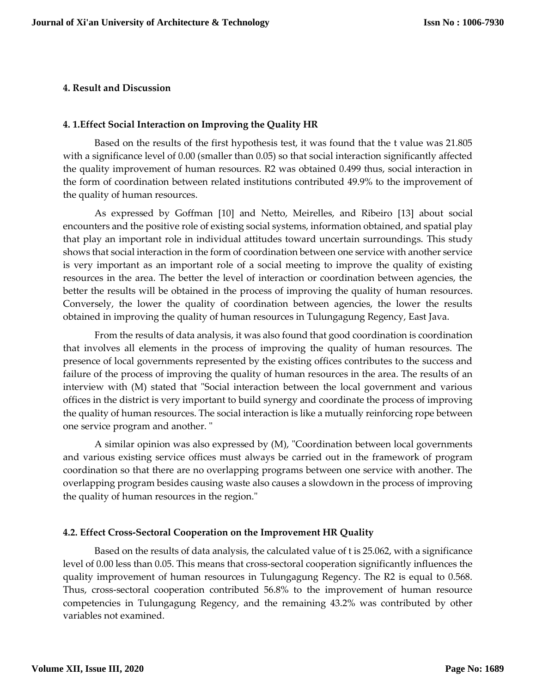#### **4. Result and Discussion**

#### **4. 1.Effect Social Interaction on Improving the Quality HR**

Based on the results of the first hypothesis test, it was found that the t value was 21.805 with a significance level of 0.00 (smaller than 0.05) so that social interaction significantly affected the quality improvement of human resources. R2 was obtained 0.499 thus, social interaction in the form of coordination between related institutions contributed 49.9% to the improvement of the quality of human resources.

As expressed by Goffman [10] and Netto, Meirelles, and Ribeiro [13] about social encounters and the positive role of existing social systems, information obtained, and spatial play that play an important role in individual attitudes toward uncertain surroundings. This study shows that social interaction in the form of coordination between one service with another service is very important as an important role of a social meeting to improve the quality of existing resources in the area. The better the level of interaction or coordination between agencies, the better the results will be obtained in the process of improving the quality of human resources. Conversely, the lower the quality of coordination between agencies, the lower the results obtained in improving the quality of human resources in Tulungagung Regency, East Java.

From the results of data analysis, it was also found that good coordination is coordination that involves all elements in the process of improving the quality of human resources. The presence of local governments represented by the existing offices contributes to the success and failure of the process of improving the quality of human resources in the area. The results of an interview with (M) stated that "Social interaction between the local government and various offices in the district is very important to build synergy and coordinate the process of improving the quality of human resources. The social interaction is like a mutually reinforcing rope between one service program and another. "

A similar opinion was also expressed by (M), "Coordination between local governments and various existing service offices must always be carried out in the framework of program coordination so that there are no overlapping programs between one service with another. The overlapping program besides causing waste also causes a slowdown in the process of improving the quality of human resources in the region."

# **4.2. Effect Cross-Sectoral Cooperation on the Improvement HR Quality**

Based on the results of data analysis, the calculated value of t is 25.062, with a significance level of 0.00 less than 0.05. This means that cross-sectoral cooperation significantly influences the quality improvement of human resources in Tulungagung Regency. The R2 is equal to 0.568. Thus, cross-sectoral cooperation contributed 56.8% to the improvement of human resource competencies in Tulungagung Regency, and the remaining 43.2% was contributed by other variables not examined.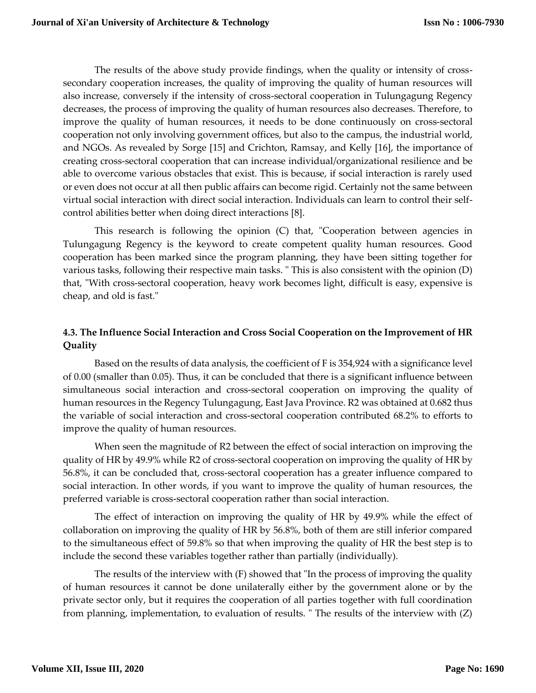The results of the above study provide findings, when the quality or intensity of crosssecondary cooperation increases, the quality of improving the quality of human resources will also increase, conversely if the intensity of cross-sectoral cooperation in Tulungagung Regency decreases, the process of improving the quality of human resources also decreases. Therefore, to improve the quality of human resources, it needs to be done continuously on cross-sectoral cooperation not only involving government offices, but also to the campus, the industrial world, and NGOs. As revealed by Sorge [15] and Crichton, Ramsay, and Kelly [16], the importance of creating cross-sectoral cooperation that can increase individual/organizational resilience and be able to overcome various obstacles that exist. This is because, if social interaction is rarely used or even does not occur at all then public affairs can become rigid. Certainly not the same between virtual social interaction with direct social interaction. Individuals can learn to control their selfcontrol abilities better when doing direct interactions [8].

This research is following the opinion (C) that, "Cooperation between agencies in Tulungagung Regency is the keyword to create competent quality human resources. Good cooperation has been marked since the program planning, they have been sitting together for various tasks, following their respective main tasks. " This is also consistent with the opinion (D) that, "With cross-sectoral cooperation, heavy work becomes light, difficult is easy, expensive is cheap, and old is fast."

# **4.3. The Influence Social Interaction and Cross Social Cooperation on the Improvement of HR Quality**

Based on the results of data analysis, the coefficient of F is 354,924 with a significance level of 0.00 (smaller than 0.05). Thus, it can be concluded that there is a significant influence between simultaneous social interaction and cross-sectoral cooperation on improving the quality of human resources in the Regency Tulungagung, East Java Province. R2 was obtained at 0.682 thus the variable of social interaction and cross-sectoral cooperation contributed 68.2% to efforts to improve the quality of human resources.

When seen the magnitude of R2 between the effect of social interaction on improving the quality of HR by 49.9% while R2 of cross-sectoral cooperation on improving the quality of HR by 56.8%, it can be concluded that, cross-sectoral cooperation has a greater influence compared to social interaction. In other words, if you want to improve the quality of human resources, the preferred variable is cross-sectoral cooperation rather than social interaction.

The effect of interaction on improving the quality of HR by 49.9% while the effect of collaboration on improving the quality of HR by 56.8%, both of them are still inferior compared to the simultaneous effect of 59.8% so that when improving the quality of HR the best step is to include the second these variables together rather than partially (individually).

The results of the interview with (F) showed that "In the process of improving the quality of human resources it cannot be done unilaterally either by the government alone or by the private sector only, but it requires the cooperation of all parties together with full coordination from planning, implementation, to evaluation of results. " The results of the interview with (Z)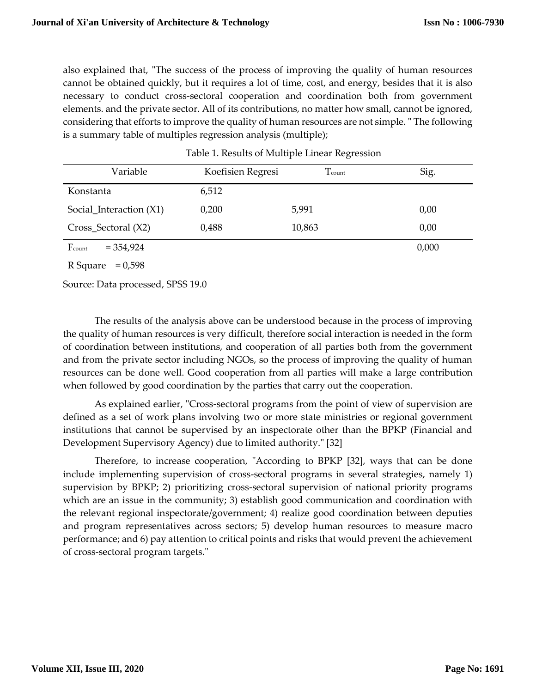also explained that, "The success of the process of improving the quality of human resources cannot be obtained quickly, but it requires a lot of time, cost, and energy, besides that it is also necessary to conduct cross-sectoral cooperation and coordination both from government elements. and the private sector. All of its contributions, no matter how small, cannot be ignored, considering that efforts to improve the quality of human resources are not simple. " The following is a summary table of multiples regression analysis (multiple);

| Variable                | Koefisien Regresi | Tcount | Sig.  |
|-------------------------|-------------------|--------|-------|
| Konstanta               | 6,512             |        |       |
| Social Interaction (X1) | 0,200             | 5,991  | 0,00  |
| Cross_Sectoral (X2)     | 0,488             | 10,863 | 0,00  |
| Fcount<br>$= 354,924$   |                   |        | 0,000 |
| $= 0,598$<br>R Square   |                   |        |       |

Table 1. Results of Multiple Linear Regression

Source: Data processed, SPSS 19.0

The results of the analysis above can be understood because in the process of improving the quality of human resources is very difficult, therefore social interaction is needed in the form of coordination between institutions, and cooperation of all parties both from the government and from the private sector including NGOs, so the process of improving the quality of human resources can be done well. Good cooperation from all parties will make a large contribution when followed by good coordination by the parties that carry out the cooperation.

As explained earlier, "Cross-sectoral programs from the point of view of supervision are defined as a set of work plans involving two or more state ministries or regional government institutions that cannot be supervised by an inspectorate other than the BPKP (Financial and Development Supervisory Agency) due to limited authority." [32]

Therefore, to increase cooperation, "According to BPKP [32], ways that can be done include implementing supervision of cross-sectoral programs in several strategies, namely 1) supervision by BPKP; 2) prioritizing cross-sectoral supervision of national priority programs which are an issue in the community; 3) establish good communication and coordination with the relevant regional inspectorate/government; 4) realize good coordination between deputies and program representatives across sectors; 5) develop human resources to measure macro performance; and 6) pay attention to critical points and risks that would prevent the achievement of cross-sectoral program targets."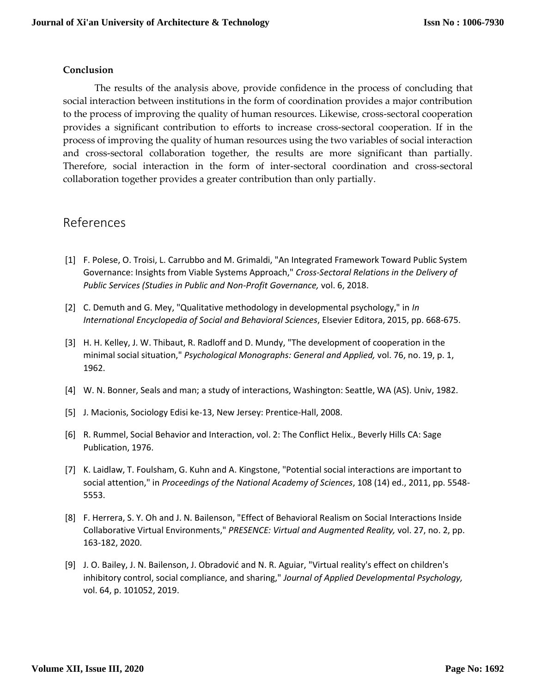# **Conclusion**

The results of the analysis above, provide confidence in the process of concluding that social interaction between institutions in the form of coordination provides a major contribution to the process of improving the quality of human resources. Likewise, cross-sectoral cooperation provides a significant contribution to efforts to increase cross-sectoral cooperation. If in the process of improving the quality of human resources using the two variables of social interaction and cross-sectoral collaboration together, the results are more significant than partially. Therefore, social interaction in the form of inter-sectoral coordination and cross-sectoral collaboration together provides a greater contribution than only partially.

# References

- [1] F. Polese, O. Troisi, L. Carrubbo and M. Grimaldi, "An Integrated Framework Toward Public System Governance: Insights from Viable Systems Approach," *Cross-Sectoral Relations in the Delivery of Public Services (Studies in Public and Non-Profit Governance,* vol. 6, 2018.
- [2] C. Demuth and G. Mey, "Qualitative methodology in developmental psychology," in *In International Encyclopedia of Social and Behavioral Sciences*, Elsevier Editora, 2015, pp. 668-675.
- [3] H. H. Kelley, J. W. Thibaut, R. Radloff and D. Mundy, "The development of cooperation in the minimal social situation," *Psychological Monographs: General and Applied,* vol. 76, no. 19, p. 1, 1962.
- [4] W. N. Bonner, Seals and man; a study of interactions, Washington: Seattle, WA (AS). Univ, 1982.
- [5] J. Macionis, Sociology Edisi ke-13, New Jersey: Prentice-Hall, 2008.
- [6] R. Rummel, Social Behavior and Interaction, vol. 2: The Conflict Helix., Beverly Hills CA: Sage Publication, 1976.
- [7] K. Laidlaw, T. Foulsham, G. Kuhn and A. Kingstone, "Potential social interactions are important to social attention," in *Proceedings of the National Academy of Sciences*, 108 (14) ed., 2011, pp. 5548- 5553.
- [8] F. Herrera, S. Y. Oh and J. N. Bailenson, "Effect of Behavioral Realism on Social Interactions Inside Collaborative Virtual Environments," *PRESENCE: Virtual and Augmented Reality,* vol. 27, no. 2, pp. 163-182, 2020.
- [9] J. O. Bailey, J. N. Bailenson, J. Obradović and N. R. Aguiar, "Virtual reality's effect on children's inhibitory control, social compliance, and sharing," *Journal of Applied Developmental Psychology,*  vol. 64, p. 101052, 2019.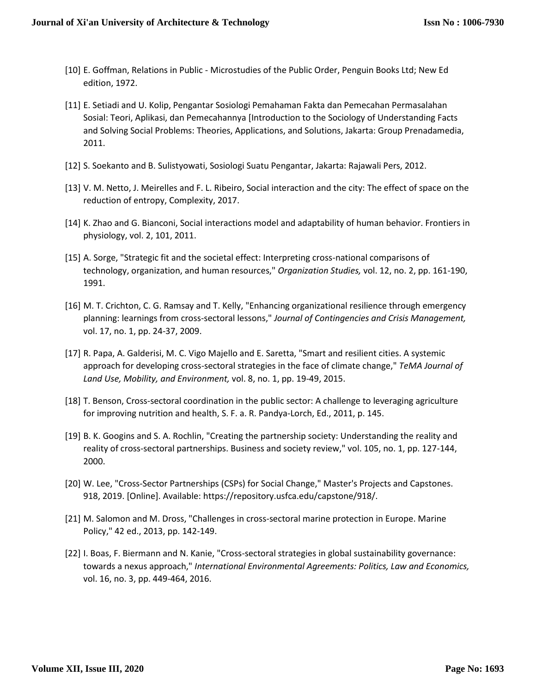- [10] E. Goffman, Relations in Public Microstudies of the Public Order, Penguin Books Ltd; New Ed edition, 1972.
- [11] E. Setiadi and U. Kolip, Pengantar Sosiologi Pemahaman Fakta dan Pemecahan Permasalahan Sosial: Teori, Aplikasi, dan Pemecahannya [Introduction to the Sociology of Understanding Facts and Solving Social Problems: Theories, Applications, and Solutions, Jakarta: Group Prenadamedia, 2011.
- [12] S. Soekanto and B. Sulistyowati, Sosiologi Suatu Pengantar, Jakarta: Rajawali Pers, 2012.
- [13] V. M. Netto, J. Meirelles and F. L. Ribeiro, Social interaction and the city: The effect of space on the reduction of entropy, Complexity, 2017.
- [14] K. Zhao and G. Bianconi, Social interactions model and adaptability of human behavior. Frontiers in physiology, vol. 2, 101, 2011.
- [15] A. Sorge, "Strategic fit and the societal effect: Interpreting cross-national comparisons of technology, organization, and human resources," *Organization Studies,* vol. 12, no. 2, pp. 161-190, 1991.
- [16] M. T. Crichton, C. G. Ramsay and T. Kelly, "Enhancing organizational resilience through emergency planning: learnings from cross-sectoral lessons," *Journal of Contingencies and Crisis Management,*  vol. 17, no. 1, pp. 24-37, 2009.
- [17] R. Papa, A. Galderisi, M. C. Vigo Majello and E. Saretta, "Smart and resilient cities. A systemic approach for developing cross-sectoral strategies in the face of climate change," *TeMA Journal of Land Use, Mobility, and Environment,* vol. 8, no. 1, pp. 19-49, 2015.
- [18] T. Benson, Cross-sectoral coordination in the public sector: A challenge to leveraging agriculture for improving nutrition and health, S. F. a. R. Pandya-Lorch, Ed., 2011, p. 145.
- [19] B. K. Googins and S. A. Rochlin, "Creating the partnership society: Understanding the reality and reality of cross-sectoral partnerships. Business and society review," vol. 105, no. 1, pp. 127-144, 2000.
- [20] W. Lee, "Cross-Sector Partnerships (CSPs) for Social Change," Master's Projects and Capstones. 918, 2019. [Online]. Available: https://repository.usfca.edu/capstone/918/.
- [21] M. Salomon and M. Dross, "Challenges in cross-sectoral marine protection in Europe. Marine Policy," 42 ed., 2013, pp. 142-149.
- [22] I. Boas, F. Biermann and N. Kanie, "Cross-sectoral strategies in global sustainability governance: towards a nexus approach," *International Environmental Agreements: Politics, Law and Economics,*  vol. 16, no. 3, pp. 449-464, 2016.